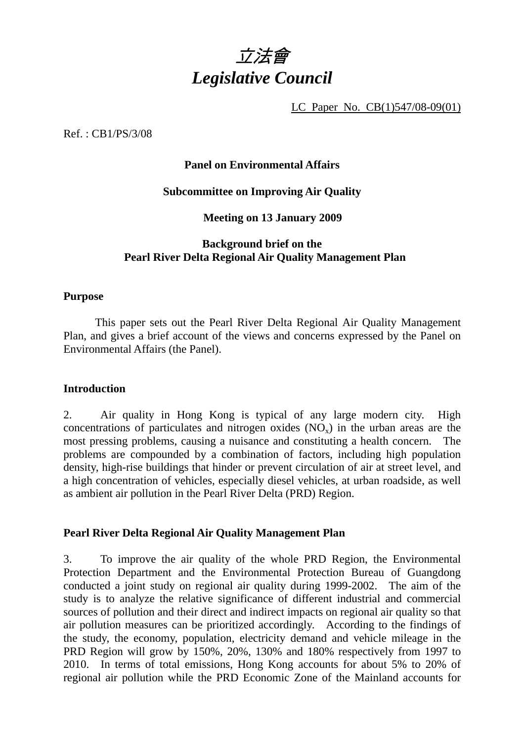

LC Paper No. CB(1)547/08-09(01)

Ref. : CB1/PS/3/08

### **Panel on Environmental Affairs**

#### **Subcommittee on Improving Air Quality**

**Meeting on 13 January 2009** 

## **Background brief on the Pearl River Delta Regional Air Quality Management Plan**

#### **Purpose**

 This paper sets out the Pearl River Delta Regional Air Quality Management Plan, and gives a brief account of the views and concerns expressed by the Panel on Environmental Affairs (the Panel).

#### **Introduction**

2. Air quality in Hong Kong is typical of any large modern city. High concentrations of particulates and nitrogen oxides  $(NO_x)$  in the urban areas are the most pressing problems, causing a nuisance and constituting a health concern. The problems are compounded by a combination of factors, including high population density, high-rise buildings that hinder or prevent circulation of air at street level, and a high concentration of vehicles, especially diesel vehicles, at urban roadside, as well as ambient air pollution in the Pearl River Delta (PRD) Region.

#### **Pearl River Delta Regional Air Quality Management Plan**

3. To improve the air quality of the whole PRD Region, the Environmental Protection Department and the Environmental Protection Bureau of Guangdong conducted a joint study on regional air quality during 1999-2002. The aim of the study is to analyze the relative significance of different industrial and commercial sources of pollution and their direct and indirect impacts on regional air quality so that air pollution measures can be prioritized accordingly. According to the findings of the study, the economy, population, electricity demand and vehicle mileage in the PRD Region will grow by 150%, 20%, 130% and 180% respectively from 1997 to 2010. In terms of total emissions, Hong Kong accounts for about 5% to 20% of regional air pollution while the PRD Economic Zone of the Mainland accounts for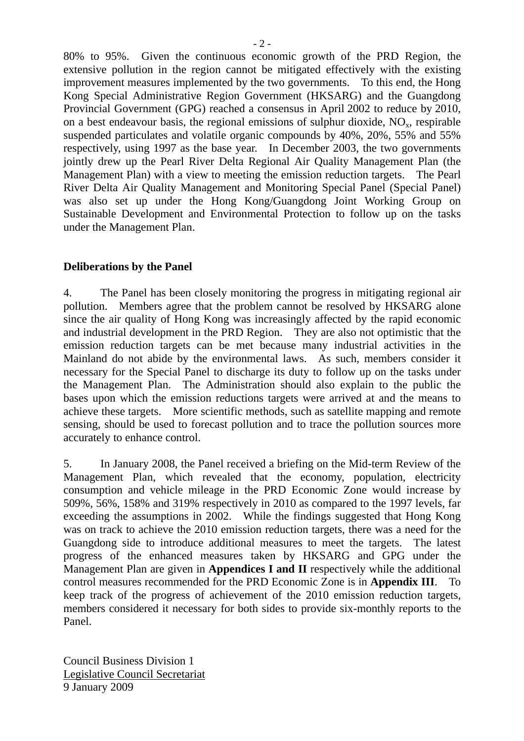80% to 95%. Given the continuous economic growth of the PRD Region, the extensive pollution in the region cannot be mitigated effectively with the existing improvement measures implemented by the two governments. To this end, the Hong Kong Special Administrative Region Government (HKSARG) and the Guangdong Provincial Government (GPG) reached a consensus in April 2002 to reduce by 2010, on a best endeavour basis, the regional emissions of sulphur dioxide,  $NO<sub>x</sub>$ , respirable suspended particulates and volatile organic compounds by 40%, 20%, 55% and 55% respectively, using 1997 as the base year. In December 2003, the two governments jointly drew up the Pearl River Delta Regional Air Quality Management Plan (the Management Plan) with a view to meeting the emission reduction targets. The Pearl River Delta Air Quality Management and Monitoring Special Panel (Special Panel) was also set up under the Hong Kong/Guangdong Joint Working Group on Sustainable Development and Environmental Protection to follow up on the tasks under the Management Plan.

## **Deliberations by the Panel**

4. The Panel has been closely monitoring the progress in mitigating regional air pollution. Members agree that the problem cannot be resolved by HKSARG alone since the air quality of Hong Kong was increasingly affected by the rapid economic and industrial development in the PRD Region. They are also not optimistic that the emission reduction targets can be met because many industrial activities in the Mainland do not abide by the environmental laws. As such, members consider it necessary for the Special Panel to discharge its duty to follow up on the tasks under the Management Plan. The Administration should also explain to the public the bases upon which the emission reductions targets were arrived at and the means to achieve these targets. More scientific methods, such as satellite mapping and remote sensing, should be used to forecast pollution and to trace the pollution sources more accurately to enhance control.

5. In January 2008, the Panel received a briefing on the Mid-term Review of the Management Plan, which revealed that the economy, population, electricity consumption and vehicle mileage in the PRD Economic Zone would increase by 509%, 56%, 158% and 319% respectively in 2010 as compared to the 1997 levels, far exceeding the assumptions in 2002. While the findings suggested that Hong Kong was on track to achieve the 2010 emission reduction targets, there was a need for the Guangdong side to introduce additional measures to meet the targets. The latest progress of the enhanced measures taken by HKSARG and GPG under the Management Plan are given in **Appendices I and II** respectively while the additional control measures recommended for the PRD Economic Zone is in **Appendix III**. To keep track of the progress of achievement of the 2010 emission reduction targets, members considered it necessary for both sides to provide six-monthly reports to the Panel.

Council Business Division 1 Legislative Council Secretariat 9 January 2009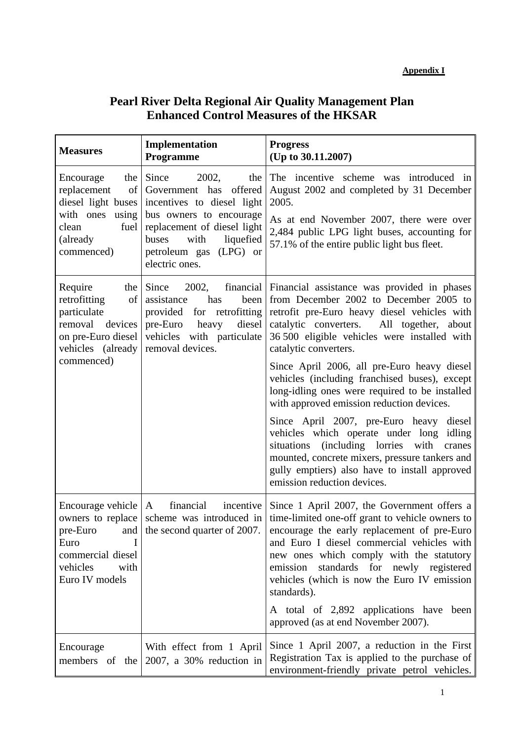# **Pearl River Delta Regional Air Quality Management Plan Enhanced Control Measures of the HKSAR**

| <b>Measures</b>                                                                                                                | Implementation<br>Programme                                                                                                                                                                                       | <b>Progress</b><br>(Up to 30.11.2007)                                                                                                                                                                                                                                                                                                                                                                                                   |
|--------------------------------------------------------------------------------------------------------------------------------|-------------------------------------------------------------------------------------------------------------------------------------------------------------------------------------------------------------------|-----------------------------------------------------------------------------------------------------------------------------------------------------------------------------------------------------------------------------------------------------------------------------------------------------------------------------------------------------------------------------------------------------------------------------------------|
| Encourage<br>the  <br>replacement<br>of<br>diesel light buses<br>with ones<br>using<br>fuel<br>clean<br>(already<br>commenced) | Since<br>2002,<br>the<br>Government has offered<br>incentives to diesel light<br>bus owners to encourage<br>replacement of diesel light<br>buses<br>with<br>liquefied<br>petroleum gas (LPG) or<br>electric ones. | The incentive scheme was introduced in<br>August 2002 and completed by 31 December<br>2005.<br>As at end November 2007, there were over<br>2,484 public LPG light buses, accounting for<br>57.1% of the entire public light bus fleet.                                                                                                                                                                                                  |
| Require<br>retrofitting<br>of<br>particulate<br>removal devices<br>on pre-Euro diesel<br>vehicles (already<br>commenced)       | the Since<br>assistance<br>has<br>been<br>provided for retrofitting<br>pre-Euro heavy diesel<br>vehicles with particulate<br>removal devices.                                                                     | 2002, financial Financial assistance was provided in phases<br>from December 2002 to December 2005 to<br>retrofit pre-Euro heavy diesel vehicles with<br>catalytic converters. All together, about<br>36 500 eligible vehicles were installed with<br>catalytic converters.<br>Since April 2006, all pre-Euro heavy diesel<br>vehicles (including franchised buses), except<br>long-idling ones were required to be installed           |
|                                                                                                                                |                                                                                                                                                                                                                   | with approved emission reduction devices.<br>Since April 2007, pre-Euro heavy diesel<br>vehicles which operate under long idling<br>situations (including lorries with<br>cranes<br>mounted, concrete mixers, pressure tankers and<br>gully emptiers) also have to install approved<br>emission reduction devices.                                                                                                                      |
| Encourage vehicle $ A $<br>I<br>Euro<br>commercial diesel<br>vehicles<br>with<br>Euro IV models                                | financial incentive                                                                                                                                                                                               | Since 1 April 2007, the Government offers a<br>owners to replace scheme was introduced in time-limited one-off grant to vehicle owners to<br>pre-Euro and the second quarter of 2007. encourage the early replacement of pre-Euro<br>and Euro I diesel commercial vehicles with<br>new ones which comply with the statutory<br>standards for newly registered<br>emission<br>vehicles (which is now the Euro IV emission<br>standards). |
|                                                                                                                                |                                                                                                                                                                                                                   | A total of 2,892 applications have been<br>approved (as at end November 2007).                                                                                                                                                                                                                                                                                                                                                          |
| Encourage                                                                                                                      | With effect from 1 April<br>members of the $\vert 2007$ , a 30% reduction in                                                                                                                                      | Since 1 April 2007, a reduction in the First<br>Registration Tax is applied to the purchase of<br>environment-friendly private petrol vehicles.                                                                                                                                                                                                                                                                                         |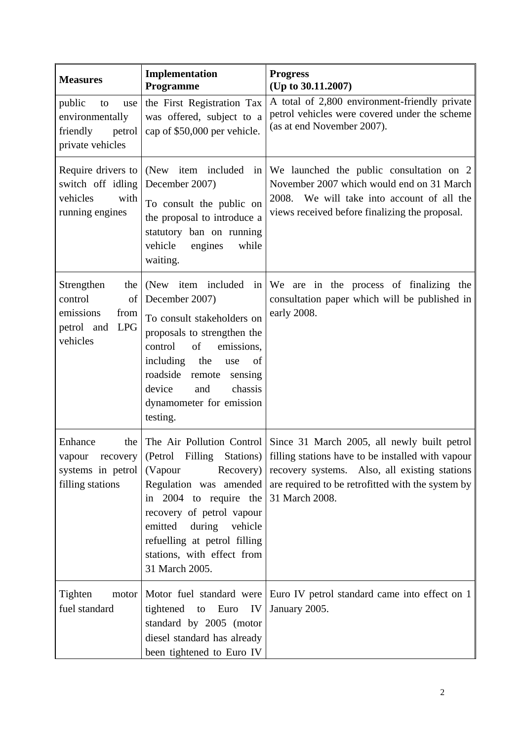| <b>Measures</b>                                                                                 | Implementation<br>Programme                                                                                                                                                                                                                   | <b>Progress</b><br>(Up to $30.11.2007$ )                                                                                                                                                                                                                                                                                |
|-------------------------------------------------------------------------------------------------|-----------------------------------------------------------------------------------------------------------------------------------------------------------------------------------------------------------------------------------------------|-------------------------------------------------------------------------------------------------------------------------------------------------------------------------------------------------------------------------------------------------------------------------------------------------------------------------|
| public<br>to<br>use<br>environmentally<br>petrol<br>friendly<br>private vehicles                | the First Registration Tax<br>was offered, subject to a<br>cap of \$50,000 per vehicle.                                                                                                                                                       | A total of 2,800 environment-friendly private<br>petrol vehicles were covered under the scheme<br>(as at end November 2007).                                                                                                                                                                                            |
| Require drivers to<br>switch off idling<br>vehicles<br>with<br>running engines                  | (New item included<br>in <sub>1</sub><br>December 2007)<br>To consult the public on<br>the proposal to introduce a<br>statutory ban on running<br>vehicle<br>engines<br>while<br>waiting.                                                     | We launched the public consultation on 2<br>November 2007 which would end on 31 March<br>2008. We will take into account of all the<br>views received before finalizing the proposal.                                                                                                                                   |
| Strengthen<br>the<br>control<br>of<br>emissions<br>from<br><b>LPG</b><br>petrol and<br>vehicles | December 2007)<br>To consult stakeholders on<br>proposals to strengthen the<br>of<br>control<br>emissions,<br>including<br>the<br>use<br>of<br>roadside remote<br>sensing<br>device<br>and<br>chassis<br>dynamometer for emission<br>testing. | (New item included in $\mathbf{W}$ are in the process of finalizing the<br>consultation paper which will be published in<br>early 2008.                                                                                                                                                                                 |
| Enhance<br>the<br>systems in petrol<br>filling stations                                         | (Vapour<br>in $2004$ to require the 31 March 2008.<br>recovery of petrol vapour<br>emitted<br>during vehicle<br>refuelling at petrol filling<br>stations, with effect from<br>31 March 2005.                                                  | The Air Pollution Control Since 31 March 2005, all newly built petrol<br>vapour recovery   (Petrol Filling Stations)   filling stations have to be installed with vapour<br>Recovery) recovery systems. Also, all existing stations<br>Regulation was amended $\vert$ are required to be retrofitted with the system by |
| Tighten<br>motor<br>fuel standard                                                               | Motor fuel standard were<br>tightened to Euro<br>IV<br>standard by 2005 (motor<br>diesel standard has already<br>been tightened to Euro IV                                                                                                    | Euro IV petrol standard came into effect on 1<br>January 2005.                                                                                                                                                                                                                                                          |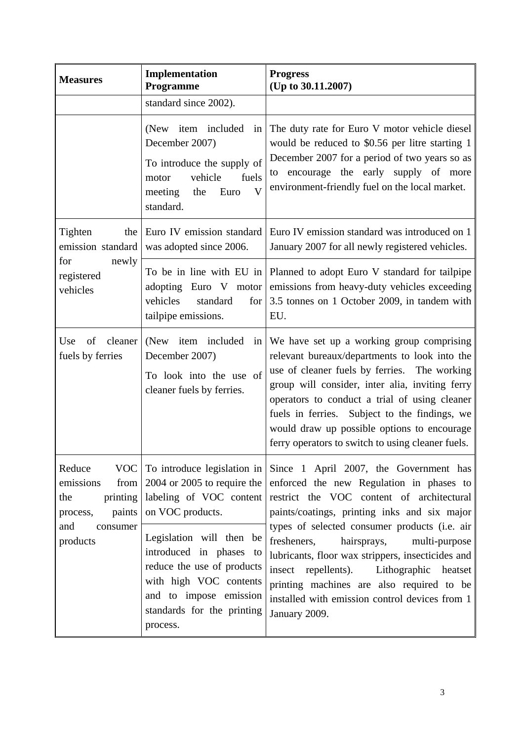| <b>Measures</b>                                                                                             | Implementation<br>Programme                                                                                                                                                     | <b>Progress</b><br>(Up to 30.11.2007)                                                                                                                                                                                                                                                                                                                                                               |
|-------------------------------------------------------------------------------------------------------------|---------------------------------------------------------------------------------------------------------------------------------------------------------------------------------|-----------------------------------------------------------------------------------------------------------------------------------------------------------------------------------------------------------------------------------------------------------------------------------------------------------------------------------------------------------------------------------------------------|
|                                                                                                             | standard since 2002).                                                                                                                                                           |                                                                                                                                                                                                                                                                                                                                                                                                     |
|                                                                                                             | item included<br>(New)<br>in<br>December 2007)<br>To introduce the supply of<br>vehicle<br>fuels<br>motor<br>$\overline{\mathbf{V}}$<br>meeting<br>the<br>Euro<br>standard.     | The duty rate for Euro V motor vehicle diesel<br>would be reduced to \$0.56 per litre starting 1<br>December 2007 for a period of two years so as<br>to encourage the early supply of more<br>environment-friendly fuel on the local market.                                                                                                                                                        |
| Tighten<br>the<br>emission standard                                                                         | Euro IV emission standard<br>was adopted since 2006.                                                                                                                            | Euro IV emission standard was introduced on 1<br>January 2007 for all newly registered vehicles.                                                                                                                                                                                                                                                                                                    |
| for<br>newly<br>registered<br>vehicles                                                                      | adopting Euro V motor<br>vehicles<br>standard<br>for<br>tailpipe emissions.                                                                                                     | To be in line with EU in Planned to adopt Euro V standard for tailpipe<br>emissions from heavy-duty vehicles exceeding<br>3.5 tonnes on 1 October 2009, in tandem with<br>EU.                                                                                                                                                                                                                       |
| of<br>cleaner<br>Use<br>fuels by ferries                                                                    | (New item included<br>in<br>December 2007)<br>To look into the use of<br>cleaner fuels by ferries.                                                                              | We have set up a working group comprising<br>relevant bureaux/departments to look into the<br>use of cleaner fuels by ferries. The working<br>group will consider, inter alia, inviting ferry<br>operators to conduct a trial of using cleaner<br>fuels in ferries. Subject to the findings, we<br>would draw up possible options to encourage<br>ferry operators to switch to using cleaner fuels. |
| Reduce<br>emissions<br>from $\vert$<br>printing<br>the<br>paints<br>process,<br>and<br>consumer<br>products | VOC To introduce legislation in<br>$2004$ or $2005$ to require the<br>labeling of VOC content<br>on VOC products.                                                               | Since 1 April 2007, the Government has<br>enforced the new Regulation in phases to<br>restrict the VOC content of architectural<br>paints/coatings, printing inks and six major                                                                                                                                                                                                                     |
|                                                                                                             | Legislation will then be<br>introduced in phases to<br>reduce the use of products<br>with high VOC contents<br>and to impose emission<br>standards for the printing<br>process. | types of selected consumer products (i.e. air<br>hairsprays,<br>fresheners,<br>multi-purpose<br>lubricants, floor wax strippers, insecticides and<br>Lithographic heatset<br>insect repellents).<br>printing machines are also required to be<br>installed with emission control devices from 1<br>January 2009.                                                                                    |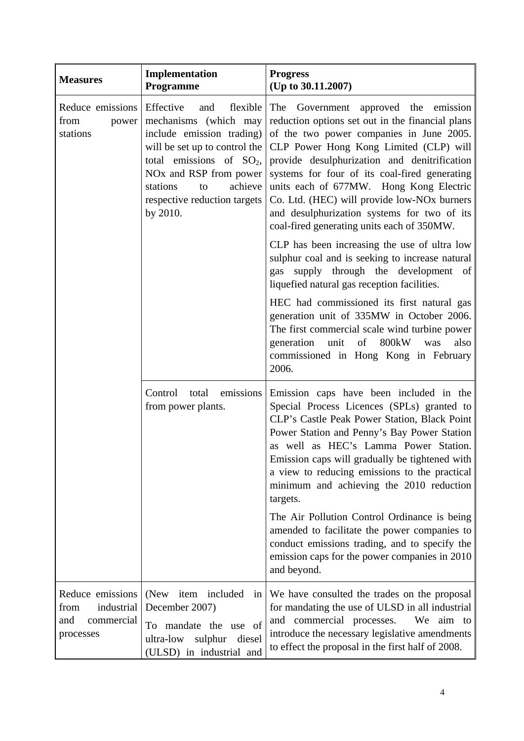| <b>Measures</b>                                                          | Implementation<br>Programme                                                                                                                                                                                                                                              | <b>Progress</b><br>(Up to 30.11.2007)                                                                                                                                                                                                                                                                                                                                                                                                                                                    |
|--------------------------------------------------------------------------|--------------------------------------------------------------------------------------------------------------------------------------------------------------------------------------------------------------------------------------------------------------------------|------------------------------------------------------------------------------------------------------------------------------------------------------------------------------------------------------------------------------------------------------------------------------------------------------------------------------------------------------------------------------------------------------------------------------------------------------------------------------------------|
| Reduce emissions<br>from<br>power<br>stations                            | <b>Effective</b><br>flexible<br>and<br>mechanisms (which may<br>include emission trading)<br>will be set up to control the<br>total emissions of $SO_2$ ,<br>NO <sub>x</sub> and RSP from power<br>achieve<br>stations<br>to<br>respective reduction targets<br>by 2010. | Government approved the emission<br>The<br>reduction options set out in the financial plans<br>of the two power companies in June 2005.<br>CLP Power Hong Kong Limited (CLP) will<br>provide desulphurization and denitrification<br>systems for four of its coal-fired generating<br>units each of 677MW. Hong Kong Electric<br>Co. Ltd. (HEC) will provide low-NO <sub>x</sub> burners<br>and desulphurization systems for two of its<br>coal-fired generating units each of 350MW.    |
|                                                                          |                                                                                                                                                                                                                                                                          | CLP has been increasing the use of ultra low<br>sulphur coal and is seeking to increase natural<br>gas supply through the development of<br>liquefied natural gas reception facilities.                                                                                                                                                                                                                                                                                                  |
|                                                                          |                                                                                                                                                                                                                                                                          | HEC had commissioned its first natural gas<br>generation unit of 335MW in October 2006.<br>The first commercial scale wind turbine power<br>generation unit of 800kW<br>was<br>also<br>commissioned in Hong Kong in February<br>2006.                                                                                                                                                                                                                                                    |
|                                                                          | Control total emissions<br>from power plants.                                                                                                                                                                                                                            | Emission caps have been included in the<br>Special Process Licences (SPLs) granted to<br>CLP's Castle Peak Power Station, Black Point<br>Power Station and Penny's Bay Power Station<br>as well as HEC's Lamma Power Station.<br>Emission caps will gradually be tightened with<br>a view to reducing emissions to the practical<br>minimum and achieving the 2010 reduction<br>targets.<br>The Air Pollution Control Ordinance is being<br>amended to facilitate the power companies to |
|                                                                          |                                                                                                                                                                                                                                                                          | conduct emissions trading, and to specify the<br>emission caps for the power companies in 2010<br>and beyond.                                                                                                                                                                                                                                                                                                                                                                            |
| Reduce emissions<br>industrial<br>from<br>and<br>commercial<br>processes | (New item included)<br>in<br>December 2007)<br>To mandate the use of<br>ultra-low<br>sulphur<br>diesel<br>(ULSD) in industrial and                                                                                                                                       | We have consulted the trades on the proposal<br>for mandating the use of ULSD in all industrial<br>and commercial processes.<br>We aim to<br>introduce the necessary legislative amendments<br>to effect the proposal in the first half of 2008.                                                                                                                                                                                                                                         |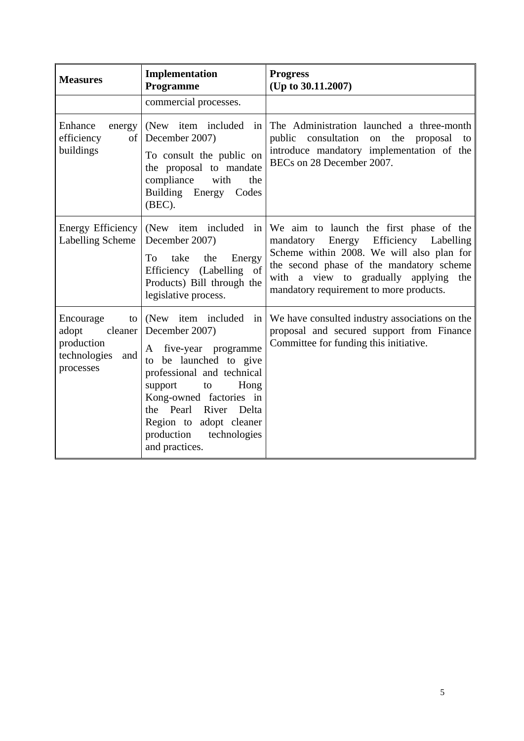| <b>Measures</b>                                                            | Implementation<br>Programme                                                                                                                                                                                                                                                                         | <b>Progress</b><br>(Up to 30.11.2007)                                                                                                                                                                                                                            |
|----------------------------------------------------------------------------|-----------------------------------------------------------------------------------------------------------------------------------------------------------------------------------------------------------------------------------------------------------------------------------------------------|------------------------------------------------------------------------------------------------------------------------------------------------------------------------------------------------------------------------------------------------------------------|
|                                                                            | commercial processes.                                                                                                                                                                                                                                                                               |                                                                                                                                                                                                                                                                  |
| Enhance<br>energy<br>efficiency<br>of<br>buildings                         | (New item included)<br>in<br>December 2007)<br>To consult the public on<br>the proposal to mandate<br>compliance<br>with<br>the<br>Building Energy<br>Codes<br>(BEC).                                                                                                                               | The Administration launched a three-month<br>consultation<br>public<br>the<br>on<br>proposal<br>to<br>introduce mandatory implementation of the<br>BECs on 28 December 2007.                                                                                     |
| Energy Efficiency<br><b>Labelling Scheme</b>                               | (New item included)<br>$\left  \text{in} \right $<br>December 2007)<br>To<br>take<br>the<br>Energy<br>Efficiency (Labelling of<br>Products) Bill through the<br>legislative process.                                                                                                                | We aim to launch the first phase of the<br>mandatory Energy Efficiency Labelling<br>Scheme within 2008. We will also plan for<br>the second phase of the mandatory scheme<br>with a view to gradually applying<br>the<br>mandatory requirement to more products. |
| Encourage<br>to<br>adopt<br>production<br>technologies<br>and<br>processes | (New item included in<br>cleaner   December 2007)<br>five-year programme<br>A<br>be launched to give<br>to<br>professional and technical<br>Hong<br>support<br>to<br>Kong-owned factories in<br>the Pearl River<br>Delta<br>Region to adopt cleaner<br>production<br>technologies<br>and practices. | We have consulted industry associations on the<br>proposal and secured support from Finance<br>Committee for funding this initiative.                                                                                                                            |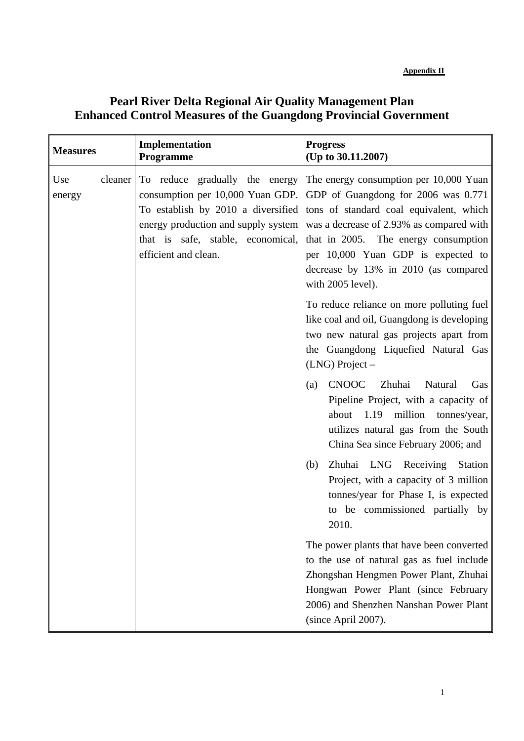# **Pearl River Delta Regional Air Quality Management Plan Enhanced Control Measures of the Guangdong Provincial Government**

| <b>Measures</b>          | Implementation<br><b>Programme</b>                                                                                                                                                                           | <b>Progress</b><br>(Up to 30.11.2007)                                                                                                                                                                                                                                                                           |
|--------------------------|--------------------------------------------------------------------------------------------------------------------------------------------------------------------------------------------------------------|-----------------------------------------------------------------------------------------------------------------------------------------------------------------------------------------------------------------------------------------------------------------------------------------------------------------|
| cleaner<br>Use<br>energy | To reduce gradually the energy<br>consumption per 10,000 Yuan GDP.<br>To establish by 2010 a diversified<br>energy production and supply system<br>that is safe, stable, economical,<br>efficient and clean. | The energy consumption per 10,000 Yuan<br>GDP of Guangdong for 2006 was 0.771<br>tons of standard coal equivalent, which<br>was a decrease of 2.93% as compared with<br>that in 2005. The energy consumption<br>per 10,000 Yuan GDP is expected to<br>decrease by 13% in 2010 (as compared<br>with 2005 level). |
|                          |                                                                                                                                                                                                              | To reduce reliance on more polluting fuel<br>like coal and oil, Guangdong is developing<br>two new natural gas projects apart from<br>the Guangdong Liquefied Natural Gas<br>$(LNG)$ Project –                                                                                                                  |
|                          |                                                                                                                                                                                                              | <b>CNOOC</b><br>Zhuhai<br>Natural<br>(a)<br>Gas<br>Pipeline Project, with a capacity of<br>about 1.19 million tonnes/year,<br>utilizes natural gas from the South<br>China Sea since February 2006; and                                                                                                         |
|                          |                                                                                                                                                                                                              | Zhuhai LNG Receiving<br>Station<br>(b)<br>Project, with a capacity of 3 million<br>tonnes/year for Phase I, is expected<br>to be commissioned partially by<br>2010.                                                                                                                                             |
|                          |                                                                                                                                                                                                              | The power plants that have been converted<br>to the use of natural gas as fuel include<br>Zhongshan Hengmen Power Plant, Zhuhai<br>Hongwan Power Plant (since February<br>2006) and Shenzhen Nanshan Power Plant<br>(since April 2007).                                                                         |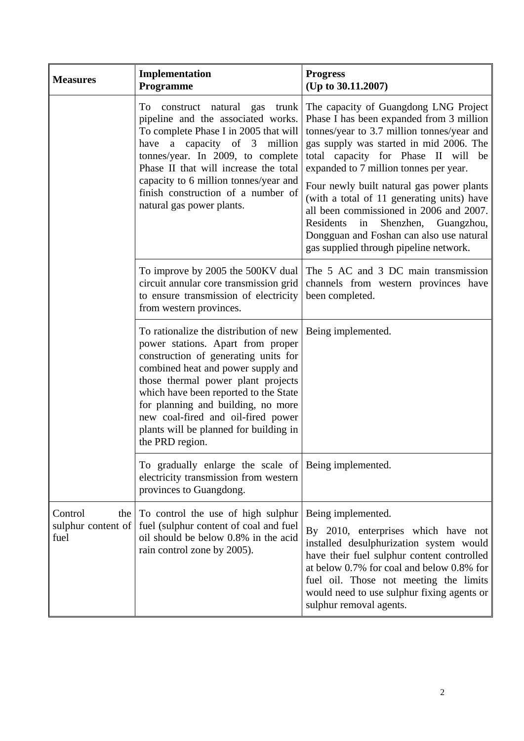| <b>Measures</b>                              | Implementation<br>Programme                                                                                                                                                                                                                                                                                                                                                       | <b>Progress</b><br>(Up to 30.11.2007)                                                                                                                                                                                                                                                                                                                                                                                                                                                                                                 |
|----------------------------------------------|-----------------------------------------------------------------------------------------------------------------------------------------------------------------------------------------------------------------------------------------------------------------------------------------------------------------------------------------------------------------------------------|---------------------------------------------------------------------------------------------------------------------------------------------------------------------------------------------------------------------------------------------------------------------------------------------------------------------------------------------------------------------------------------------------------------------------------------------------------------------------------------------------------------------------------------|
|                                              | construct natural gas trunk<br>To<br>pipeline and the associated works.<br>To complete Phase I in 2005 that will<br>have a capacity of 3 million<br>tonnes/year. In 2009, to complete<br>Phase II that will increase the total<br>capacity to 6 million tonnes/year and<br>finish construction of a number of<br>natural gas power plants.                                        | The capacity of Guangdong LNG Project<br>Phase I has been expanded from 3 million<br>tonnes/year to 3.7 million tonnes/year and<br>gas supply was started in mid 2006. The<br>total capacity for Phase II will<br>be<br>expanded to 7 million tonnes per year.<br>Four newly built natural gas power plants<br>(with a total of 11 generating units) have<br>all been commissioned in 2006 and 2007.<br>Residents<br>Shenzhen, Guangzhou,<br>in<br>Dongguan and Foshan can also use natural<br>gas supplied through pipeline network. |
|                                              | To improve by 2005 the 500KV dual<br>circuit annular core transmission grid<br>to ensure transmission of electricity<br>from western provinces.                                                                                                                                                                                                                                   | The 5 AC and 3 DC main transmission<br>channels from western provinces have<br>been completed.                                                                                                                                                                                                                                                                                                                                                                                                                                        |
|                                              | To rationalize the distribution of new<br>power stations. Apart from proper<br>construction of generating units for<br>combined heat and power supply and<br>those thermal power plant projects<br>which have been reported to the State<br>for planning and building, no more<br>new coal-fired and oil-fired power<br>plants will be planned for building in<br>the PRD region. | Being implemented.                                                                                                                                                                                                                                                                                                                                                                                                                                                                                                                    |
|                                              | To gradually enlarge the scale of Being implemented.<br>electricity transmission from western<br>provinces to Guangdong.                                                                                                                                                                                                                                                          |                                                                                                                                                                                                                                                                                                                                                                                                                                                                                                                                       |
| Control<br>the<br>sulphur content of<br>fuel | To control the use of high sulphur<br>fuel (sulphur content of coal and fuel<br>oil should be below 0.8% in the acid<br>rain control zone by 2005).                                                                                                                                                                                                                               | Being implemented.<br>By 2010, enterprises which have not<br>installed desulphurization system would<br>have their fuel sulphur content controlled<br>at below 0.7% for coal and below 0.8% for<br>fuel oil. Those not meeting the limits<br>would need to use sulphur fixing agents or<br>sulphur removal agents.                                                                                                                                                                                                                    |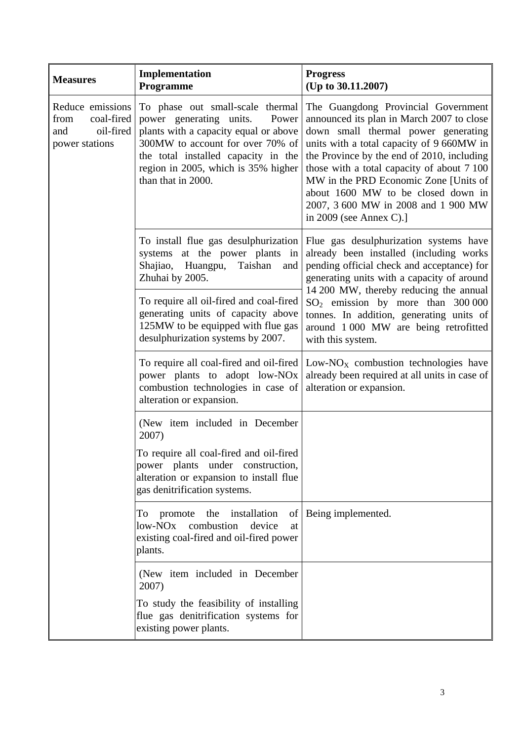| <b>Measures</b>                                                              | Implementation<br>Programme                                                                                                                                                                                                                           | <b>Progress</b><br>(Up to 30.11.2007)                                                                                                                                                                                                                                                                                                                                                                             |
|------------------------------------------------------------------------------|-------------------------------------------------------------------------------------------------------------------------------------------------------------------------------------------------------------------------------------------------------|-------------------------------------------------------------------------------------------------------------------------------------------------------------------------------------------------------------------------------------------------------------------------------------------------------------------------------------------------------------------------------------------------------------------|
| Reduce emissions<br>coal-fired<br>from<br>oil-fired<br>and<br>power stations | To phase out small-scale thermal<br>power generating units.<br>Power<br>plants with a capacity equal or above<br>300MW to account for over 70% of<br>the total installed capacity in the<br>region in 2005, which is 35% higher<br>than that in 2000. | The Guangdong Provincial Government<br>announced its plan in March 2007 to close<br>down small thermal power generating<br>units with a total capacity of 9 660MW in<br>the Province by the end of 2010, including<br>those with a total capacity of about 7 100<br>MW in the PRD Economic Zone [Units of<br>about 1600 MW to be closed down in<br>2007, 3 600 MW in 2008 and 1 900 MW<br>in 2009 (see Annex C).] |
|                                                                              | To install flue gas desulphurization<br>systems at the power plants in<br>Huangpu,<br>Taishan<br>Shajiao,<br>and<br>Zhuhai by 2005.                                                                                                                   | Flue gas desulphurization systems have<br>already been installed (including works<br>pending official check and acceptance) for<br>generating units with a capacity of around<br>14 200 MW, thereby reducing the annual                                                                                                                                                                                           |
|                                                                              | To require all oil-fired and coal-fired<br>generating units of capacity above<br>125MW to be equipped with flue gas<br>desulphurization systems by 2007.                                                                                              | $SO2$ emission by more than 300 000<br>tonnes. In addition, generating units of<br>around 1 000 MW are being retrofitted<br>with this system.                                                                                                                                                                                                                                                                     |
|                                                                              | To require all coal-fired and oil-fired<br>power plants to adopt low-NO <sub>x</sub><br>combustion technologies in case of<br>alteration or expansion.                                                                                                | Low- $NOX$ combustion technologies have<br>already been required at all units in case of<br>alteration or expansion.                                                                                                                                                                                                                                                                                              |
|                                                                              | (New item included in December<br>2007)                                                                                                                                                                                                               |                                                                                                                                                                                                                                                                                                                                                                                                                   |
|                                                                              | To require all coal-fired and oil-fired<br>power plants under construction,<br>alteration or expansion to install flue<br>gas denitrification systems.                                                                                                |                                                                                                                                                                                                                                                                                                                                                                                                                   |
|                                                                              | promote the<br>installation<br>To<br>low-NOx<br>combustion<br>device<br>at<br>existing coal-fired and oil-fired power<br>plants.                                                                                                                      | of   Being implemented.                                                                                                                                                                                                                                                                                                                                                                                           |
|                                                                              | (New item included in December<br>2007)                                                                                                                                                                                                               |                                                                                                                                                                                                                                                                                                                                                                                                                   |
|                                                                              | To study the feasibility of installing<br>flue gas denitrification systems for<br>existing power plants.                                                                                                                                              |                                                                                                                                                                                                                                                                                                                                                                                                                   |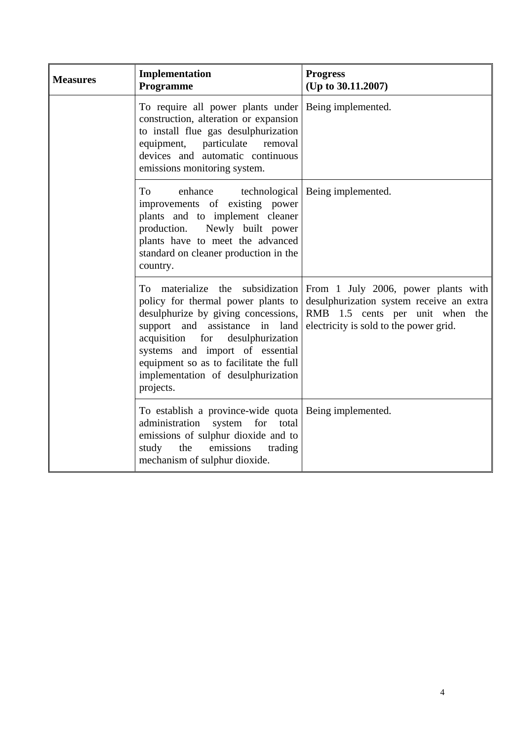| <b>Measures</b> | Implementation<br>Programme                                                                                                                                                                                                                                                                                               | <b>Progress</b><br>(Up to 30.11.2007)                                                                                                                        |
|-----------------|---------------------------------------------------------------------------------------------------------------------------------------------------------------------------------------------------------------------------------------------------------------------------------------------------------------------------|--------------------------------------------------------------------------------------------------------------------------------------------------------------|
|                 | To require all power plants under<br>construction, alteration or expansion<br>to install flue gas desulphurization<br>equipment, particulate removal<br>devices and automatic continuous<br>emissions monitoring system.                                                                                                  | Being implemented.                                                                                                                                           |
|                 | To<br>enhance<br>improvements of existing power<br>plants and to implement cleaner<br>Newly built power<br>production.<br>plants have to meet the advanced<br>standard on cleaner production in the<br>country.                                                                                                           | technological   Being implemented.                                                                                                                           |
|                 | To materialize the subsidization<br>policy for thermal power plants to<br>desulphurize by giving concessions,<br>support and assistance in land<br>acquisition<br>for<br>desulphurization<br>systems and import of essential<br>equipment so as to facilitate the full<br>implementation of desulphurization<br>projects. | From 1 July 2006, power plants with<br>desulphurization system receive an extra<br>RMB 1.5 cents per unit when the<br>electricity is sold to the power grid. |
|                 | To establish a province-wide quota Being implemented.<br>system for<br>administration<br>total<br>emissions of sulphur dioxide and to<br>the<br>emissions<br>study<br>trading<br>mechanism of sulphur dioxide.                                                                                                            |                                                                                                                                                              |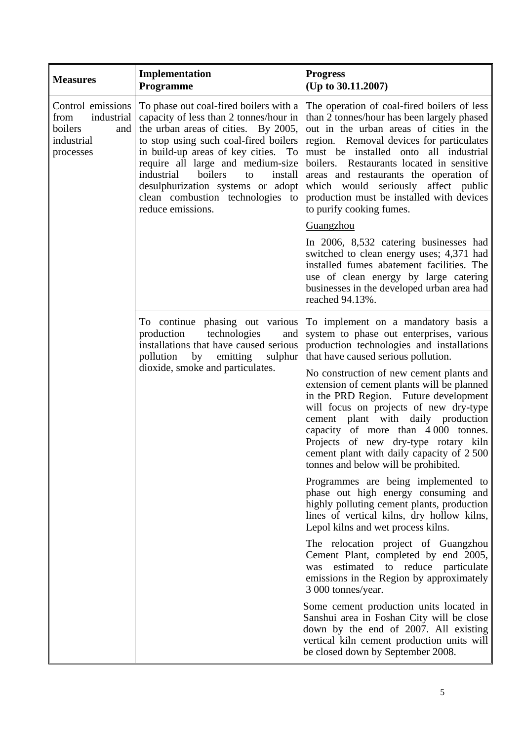| <b>Measures</b>                                                                      | Implementation<br><b>Programme</b>                                                                                                                                                                                                                                                                                                                                                   | <b>Progress</b><br>(Up to 30.11.2007)                                                                                                                                                                                                                                                                                                                                                                                                                                                                                                                     |
|--------------------------------------------------------------------------------------|--------------------------------------------------------------------------------------------------------------------------------------------------------------------------------------------------------------------------------------------------------------------------------------------------------------------------------------------------------------------------------------|-----------------------------------------------------------------------------------------------------------------------------------------------------------------------------------------------------------------------------------------------------------------------------------------------------------------------------------------------------------------------------------------------------------------------------------------------------------------------------------------------------------------------------------------------------------|
| Control emissions<br>industrial<br>from<br>boilers<br>and<br>industrial<br>processes | To phase out coal-fired boilers with a<br>capacity of less than 2 tonnes/hour in<br>the urban areas of cities. By 2005,<br>to stop using such coal-fired boilers<br>in build-up areas of key cities. To<br>require all large and medium-size<br>industrial<br>boilers<br>to<br>install<br>desulphurization systems or adopt<br>clean combustion technologies to<br>reduce emissions. | The operation of coal-fired boilers of less<br>than 2 tonnes/hour has been largely phased<br>out in the urban areas of cities in the<br>region. Removal devices for particulates<br>must be installed onto all industrial<br>boilers. Restaurants located in sensitive<br>areas and restaurants the operation of<br>which would seriously affect public<br>production must be installed with devices<br>to purify cooking fumes.                                                                                                                          |
|                                                                                      |                                                                                                                                                                                                                                                                                                                                                                                      | Guangzhou                                                                                                                                                                                                                                                                                                                                                                                                                                                                                                                                                 |
|                                                                                      |                                                                                                                                                                                                                                                                                                                                                                                      | In 2006, 8,532 catering businesses had<br>switched to clean energy uses; 4,371 had<br>installed fumes abatement facilities. The<br>use of clean energy by large catering<br>businesses in the developed urban area had<br>reached 94.13%.                                                                                                                                                                                                                                                                                                                 |
|                                                                                      | To continue phasing out various<br>production<br>technologies<br>and<br>installations that have caused serious<br>by emitting<br>pollution<br>sulphur<br>dioxide, smoke and particulates.                                                                                                                                                                                            | To implement on a mandatory basis a<br>system to phase out enterprises, various<br>production technologies and installations<br>that have caused serious pollution.<br>No construction of new cement plants and<br>extension of cement plants will be planned<br>in the PRD Region. Future development<br>will focus on projects of new dry-type<br>cement plant with daily production<br>capacity of more than 4000 tonnes.<br>Projects of new dry-type rotary kiln<br>cement plant with daily capacity of 2 500<br>tonnes and below will be prohibited. |
|                                                                                      |                                                                                                                                                                                                                                                                                                                                                                                      | Programmes are being implemented to<br>phase out high energy consuming and<br>highly polluting cement plants, production<br>lines of vertical kilns, dry hollow kilns,<br>Lepol kilns and wet process kilns.                                                                                                                                                                                                                                                                                                                                              |
|                                                                                      |                                                                                                                                                                                                                                                                                                                                                                                      | The relocation project of Guangzhou<br>Cement Plant, completed by end 2005,<br>estimated to reduce particulate<br>was<br>emissions in the Region by approximately<br>3 000 tonnes/year.                                                                                                                                                                                                                                                                                                                                                                   |
|                                                                                      |                                                                                                                                                                                                                                                                                                                                                                                      | Some cement production units located in<br>Sanshui area in Foshan City will be close<br>down by the end of 2007. All existing<br>vertical kiln cement production units will<br>be closed down by September 2008.                                                                                                                                                                                                                                                                                                                                          |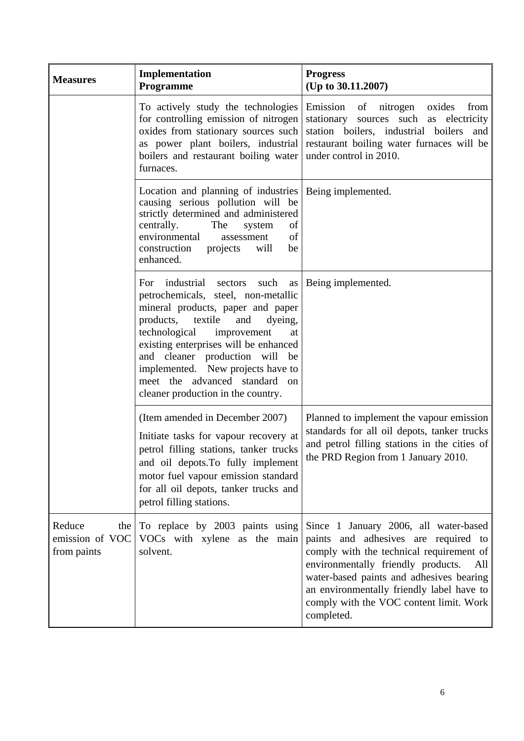| <b>Measures</b>                                   | Implementation<br>Programme                                                                                                                                                                                                                                                                                                                                                          | <b>Progress</b><br>(Up to 30.11.2007)                                                                                                                                                                                                                                                                                    |
|---------------------------------------------------|--------------------------------------------------------------------------------------------------------------------------------------------------------------------------------------------------------------------------------------------------------------------------------------------------------------------------------------------------------------------------------------|--------------------------------------------------------------------------------------------------------------------------------------------------------------------------------------------------------------------------------------------------------------------------------------------------------------------------|
|                                                   | To actively study the technologies<br>for controlling emission of nitrogen<br>oxides from stationary sources such<br>as power plant boilers, industrial<br>boilers and restaurant boiling water<br>furnaces.                                                                                                                                                                         | Emission of nitrogen oxides<br>from<br>stationary sources such as electricity<br>station boilers, industrial boilers and<br>restaurant boiling water furnaces will be<br>under control in 2010.                                                                                                                          |
|                                                   | Location and planning of industries   Being implemented.<br>causing serious pollution will be<br>strictly determined and administered<br>centrally.<br>The<br>of<br>system<br>environmental<br>of<br>assessment<br>construction projects will<br>be<br>enhanced.                                                                                                                     |                                                                                                                                                                                                                                                                                                                          |
|                                                   | For industrial sectors such<br>as<br>petrochemicals, steel, non-metallic<br>mineral products, paper and paper<br>products, textile<br>and<br>dyeing,<br>technological improvement<br>at<br>existing enterprises will be enhanced<br>and cleaner production will<br>be<br>implemented. New projects have to<br>meet the advanced standard<br>on<br>cleaner production in the country. | Being implemented.                                                                                                                                                                                                                                                                                                       |
|                                                   | (Item amended in December 2007)<br>Initiate tasks for vapour recovery at<br>petrol filling stations, tanker trucks<br>and oil depots. To fully implement<br>motor fuel vapour emission standard<br>for all oil depots, tanker trucks and<br>petrol filling stations.                                                                                                                 | Planned to implement the vapour emission<br>standards for all oil depots, tanker trucks<br>and petrol filling stations in the cities of<br>the PRD Region from 1 January 2010.                                                                                                                                           |
| Reduce<br>the  <br>emission of VOC<br>from paints | To replace by 2003 paints using<br>VOCs with xylene as the main<br>solvent.                                                                                                                                                                                                                                                                                                          | Since 1 January 2006, all water-based<br>paints and adhesives are required to<br>comply with the technical requirement of<br>environmentally friendly products.<br>All<br>water-based paints and adhesives bearing<br>an environmentally friendly label have to<br>comply with the VOC content limit. Work<br>completed. |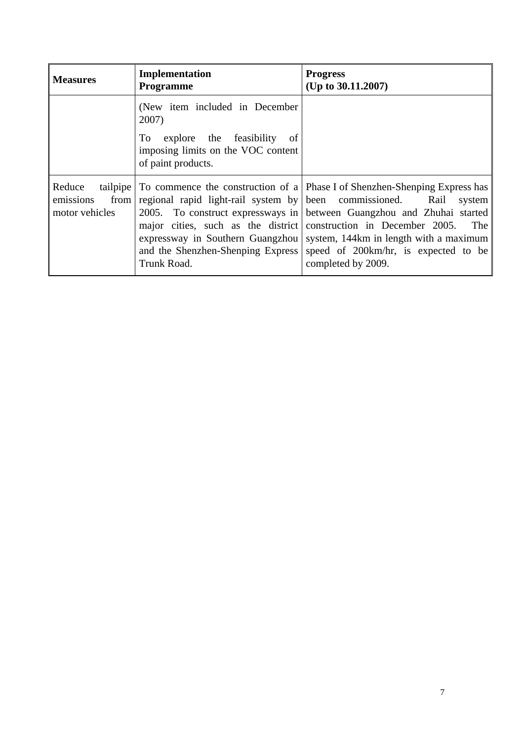| <b>Measures</b>                                           | Implementation<br>Programme                                                                                                                                                          | <b>Progress</b><br>(Up to $30.11.2007$ )                                                                                                                                                                                                                                                                                |
|-----------------------------------------------------------|--------------------------------------------------------------------------------------------------------------------------------------------------------------------------------------|-------------------------------------------------------------------------------------------------------------------------------------------------------------------------------------------------------------------------------------------------------------------------------------------------------------------------|
|                                                           | (New item included in December<br>2007)<br>To explore the feasibility<br>-of<br>imposing limits on the VOC content<br>of paint products.                                             |                                                                                                                                                                                                                                                                                                                         |
| Reduce<br>tailpipe<br>emissions<br>from<br>motor vehicles | regional rapid light-rail system by been commissioned.<br>major cities, such as the district<br>expressway in Southern Guangzhou<br>and the Shenzhen-Shenping Express<br>Trunk Road. | To commence the construction of a Phase I of Shenzhen-Shenping Express has<br>Rail<br>system<br>2005. To construct expressways in between Guangzhou and Zhuhai started<br>construction in December 2005.<br>The<br>system, 144km in length with a maximum<br>speed of 200km/hr, is expected to be<br>completed by 2009. |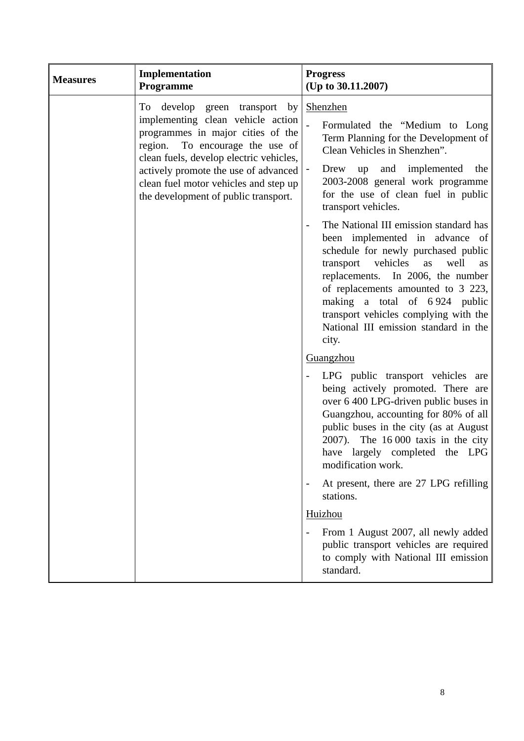| <b>Measures</b> | Implementation<br>Programme                                                                                                                                                                                                                                                                                       | <b>Progress</b><br>(Up to 30.11.2007)                                                                                                                                                                                                                                                                                                                                                           |
|-----------------|-------------------------------------------------------------------------------------------------------------------------------------------------------------------------------------------------------------------------------------------------------------------------------------------------------------------|-------------------------------------------------------------------------------------------------------------------------------------------------------------------------------------------------------------------------------------------------------------------------------------------------------------------------------------------------------------------------------------------------|
|                 | To develop<br>green transport by<br>implementing clean vehicle action<br>programmes in major cities of the<br>region. To encourage the use of<br>clean fuels, develop electric vehicles,<br>actively promote the use of advanced<br>clean fuel motor vehicles and step up<br>the development of public transport. | Shenzhen<br>Formulated the "Medium to Long"<br>Term Planning for the Development of<br>Clean Vehicles in Shenzhen".<br>and implemented<br>the<br>Drew<br>up<br>$\overline{\phantom{a}}$<br>2003-2008 general work programme<br>for the use of clean fuel in public<br>transport vehicles.                                                                                                       |
|                 |                                                                                                                                                                                                                                                                                                                   | The National III emission standard has<br>$\overline{\phantom{m}}$<br>been implemented in advance of<br>schedule for newly purchased public<br>vehicles<br>transport<br>well<br>as<br>as<br>replacements. In 2006, the number<br>of replacements amounted to 3 223,<br>making a total of 6924 public<br>transport vehicles complying with the<br>National III emission standard in the<br>city. |
|                 |                                                                                                                                                                                                                                                                                                                   | Guangzhou                                                                                                                                                                                                                                                                                                                                                                                       |
|                 |                                                                                                                                                                                                                                                                                                                   | LPG public transport vehicles are<br>$\qquad \qquad -$<br>being actively promoted. There are<br>over 6 400 LPG-driven public buses in<br>Guangzhou, accounting for 80% of all<br>public buses in the city (as at August<br>2007). The $16000$ taxis in the city<br>have largely completed the LPG<br>modification work.                                                                         |
|                 |                                                                                                                                                                                                                                                                                                                   | At present, there are 27 LPG refilling<br>stations.                                                                                                                                                                                                                                                                                                                                             |
|                 |                                                                                                                                                                                                                                                                                                                   | Huizhou                                                                                                                                                                                                                                                                                                                                                                                         |
|                 |                                                                                                                                                                                                                                                                                                                   | From 1 August 2007, all newly added<br>public transport vehicles are required<br>to comply with National III emission<br>standard.                                                                                                                                                                                                                                                              |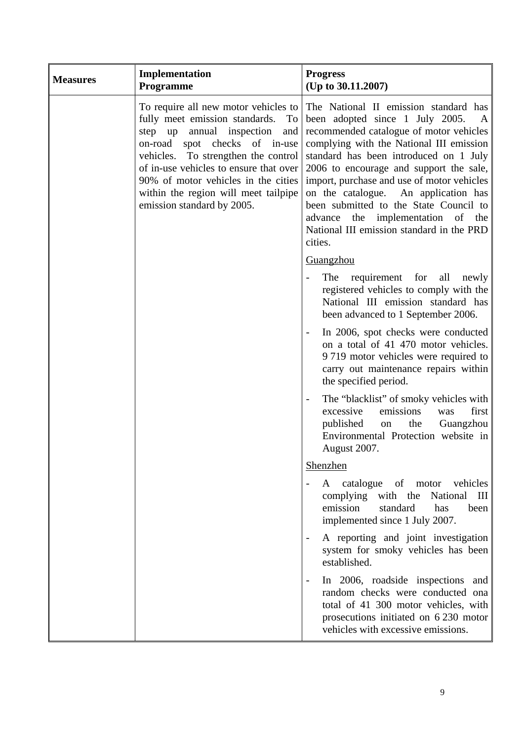| <b>Measures</b> | Implementation<br><b>Programme</b>                                                                                                                                                                                                                                                                                                              | <b>Progress</b><br>(Up to 30.11.2007)                                                                                                                                                                                                                                                                                                                                                                                                                                               |
|-----------------|-------------------------------------------------------------------------------------------------------------------------------------------------------------------------------------------------------------------------------------------------------------------------------------------------------------------------------------------------|-------------------------------------------------------------------------------------------------------------------------------------------------------------------------------------------------------------------------------------------------------------------------------------------------------------------------------------------------------------------------------------------------------------------------------------------------------------------------------------|
|                 | To require all new motor vehicles to<br>fully meet emission standards.<br>To<br>step up annual inspection<br>and<br>on-road spot checks of in-use<br>vehicles. To strengthen the control<br>of in-use vehicles to ensure that over<br>90% of motor vehicles in the cities<br>within the region will meet tailpipe<br>emission standard by 2005. | The National II emission standard has<br>been adopted since 1 July 2005. A<br>recommended catalogue of motor vehicles<br>complying with the National III emission<br>standard has been introduced on 1 July<br>2006 to encourage and support the sale,<br>import, purchase and use of motor vehicles<br>on the catalogue. An application has<br>been submitted to the State Council to<br>advance the implementation of the<br>National III emission standard in the PRD<br>cities. |
|                 |                                                                                                                                                                                                                                                                                                                                                 | Guangzhou                                                                                                                                                                                                                                                                                                                                                                                                                                                                           |
|                 |                                                                                                                                                                                                                                                                                                                                                 | requirement for all<br>The<br>newly<br>registered vehicles to comply with the<br>National III emission standard has<br>been advanced to 1 September 2006.                                                                                                                                                                                                                                                                                                                           |
|                 |                                                                                                                                                                                                                                                                                                                                                 | In 2006, spot checks were conducted<br>on a total of 41 470 motor vehicles.<br>9 719 motor vehicles were required to<br>carry out maintenance repairs within<br>the specified period.                                                                                                                                                                                                                                                                                               |
|                 |                                                                                                                                                                                                                                                                                                                                                 | The "blacklist" of smoky vehicles with<br>$\overline{\phantom{0}}$<br>emissions<br>first<br>excessive<br>was<br>the<br>published<br>Guangzhou<br>on<br>Environmental Protection website in<br>August 2007.                                                                                                                                                                                                                                                                          |
|                 |                                                                                                                                                                                                                                                                                                                                                 | Shenzhen                                                                                                                                                                                                                                                                                                                                                                                                                                                                            |
|                 |                                                                                                                                                                                                                                                                                                                                                 | A catalogue of motor vehicles<br>complying with the National III<br>emission<br>standard<br>has<br>been<br>implemented since 1 July 2007.                                                                                                                                                                                                                                                                                                                                           |
|                 |                                                                                                                                                                                                                                                                                                                                                 | A reporting and joint investigation<br>system for smoky vehicles has been<br>established.                                                                                                                                                                                                                                                                                                                                                                                           |
|                 |                                                                                                                                                                                                                                                                                                                                                 | In 2006, roadside inspections and<br>$\qquad \qquad -$<br>random checks were conducted ona<br>total of 41 300 motor vehicles, with<br>prosecutions initiated on 6 230 motor<br>vehicles with excessive emissions.                                                                                                                                                                                                                                                                   |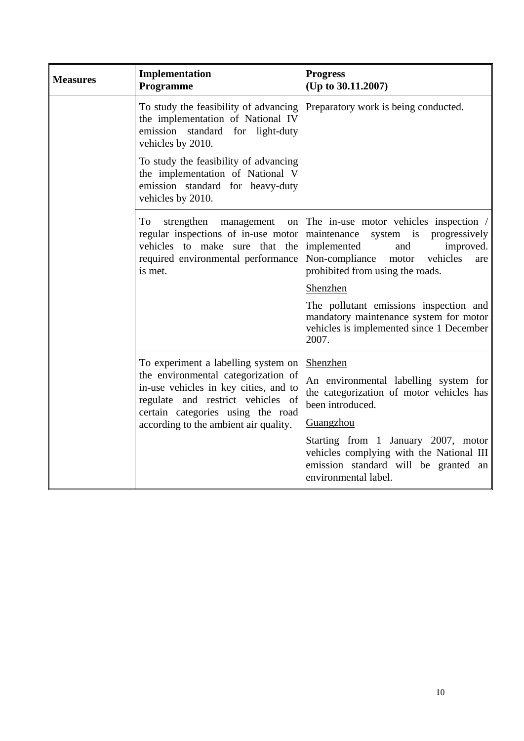| <b>Measures</b> | Implementation<br>Programme                                                                                                                                                                     | <b>Progress</b><br>(Up to 30.11.2007)                                                                                                                                                                 |
|-----------------|-------------------------------------------------------------------------------------------------------------------------------------------------------------------------------------------------|-------------------------------------------------------------------------------------------------------------------------------------------------------------------------------------------------------|
|                 | To study the feasibility of advancing<br>the implementation of National IV<br>emission standard for light-duty<br>vehicles by 2010.                                                             | Preparatory work is being conducted.                                                                                                                                                                  |
|                 | To study the feasibility of advancing<br>the implementation of National V<br>emission standard for heavy-duty<br>vehicles by 2010.                                                              |                                                                                                                                                                                                       |
|                 | strengthen<br>To<br>management<br>on<br>regular inspections of in-use motor<br>vehicles to make sure that the<br>required environmental performance<br>is met.                                  | The in-use motor vehicles inspection /<br>system is progressively<br>maintenance<br>improved.<br>implemented<br>and<br>Non-compliance<br>vehicles<br>motor<br>are<br>prohibited from using the roads. |
|                 |                                                                                                                                                                                                 | Shenzhen                                                                                                                                                                                              |
|                 |                                                                                                                                                                                                 | The pollutant emissions inspection and<br>mandatory maintenance system for motor<br>vehicles is implemented since 1 December<br>2007.                                                                 |
|                 | To experiment a labelling system on                                                                                                                                                             | Shenzhen                                                                                                                                                                                              |
|                 | the environmental categorization of<br>in-use vehicles in key cities, and to<br>regulate and restrict vehicles of<br>certain categories using the road<br>according to the ambient air quality. | An environmental labelling system for<br>the categorization of motor vehicles has<br>been introduced.                                                                                                 |
|                 |                                                                                                                                                                                                 | Guangzhou                                                                                                                                                                                             |
|                 |                                                                                                                                                                                                 | Starting from 1 January 2007, motor<br>vehicles complying with the National III<br>emission standard will be granted an<br>environmental label.                                                       |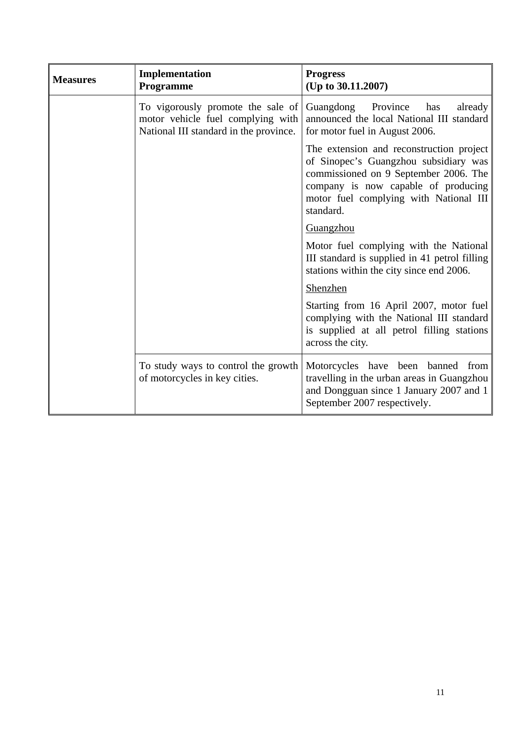| <b>Measures</b> | Implementation<br>Programme                                                                                      | <b>Progress</b><br>(Up to 30.11.2007)                                                                                                                                                                                    |
|-----------------|------------------------------------------------------------------------------------------------------------------|--------------------------------------------------------------------------------------------------------------------------------------------------------------------------------------------------------------------------|
|                 | To vigorously promote the sale of<br>motor vehicle fuel complying with<br>National III standard in the province. | Guangdong Province<br>has<br>already<br>announced the local National III standard<br>for motor fuel in August 2006.                                                                                                      |
|                 |                                                                                                                  | The extension and reconstruction project<br>of Sinopec's Guangzhou subsidiary was<br>commissioned on 9 September 2006. The<br>company is now capable of producing<br>motor fuel complying with National III<br>standard. |
|                 |                                                                                                                  | Guangzhou                                                                                                                                                                                                                |
|                 |                                                                                                                  | Motor fuel complying with the National<br>III standard is supplied in 41 petrol filling<br>stations within the city since end 2006.                                                                                      |
|                 |                                                                                                                  | Shenzhen                                                                                                                                                                                                                 |
|                 |                                                                                                                  | Starting from 16 April 2007, motor fuel<br>complying with the National III standard<br>is supplied at all petrol filling stations<br>across the city.                                                                    |
|                 | To study ways to control the growth<br>of motorcycles in key cities.                                             | Motorcycles have been banned from<br>travelling in the urban areas in Guangzhou<br>and Dongguan since 1 January 2007 and 1<br>September 2007 respectively.                                                               |